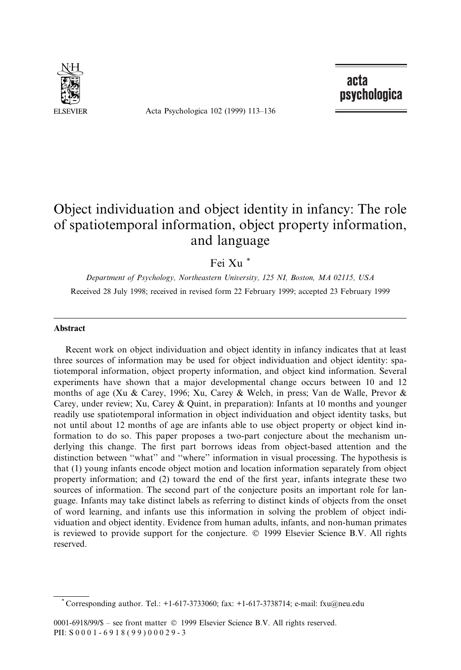

Acta Psychologica 102 (1999) 113-136

acta psychologica

# Object individuation and object identity in infancy: The role of spatiotemporal information, object property information, and language

Fei Xu \*

Department of Psychology, Northeastern University, 125 NI, Boston, MA 02115, USA Received 28 July 1998; received in revised form 22 February 1999; accepted 23 February 1999

#### Abstract

Recent work on object individuation and object identity in infancy indicates that at least three sources of information may be used for object individuation and object identity: spatiotemporal information, object property information, and object kind information. Several experiments have shown that a major developmental change occurs between 10 and 12 months of age (Xu & Carey, 1996; Xu, Carey & Welch, in press; Van de Walle, Prevor & Carey, under review; Xu, Carey & Quint, in preparation): Infants at 10 months and younger readily use spatiotemporal information in object individuation and object identity tasks, but not until about 12 months of age are infants able to use object property or object kind information to do so. This paper proposes a two-part conjecture about the mechanism underlying this change. The first part borrows ideas from object-based attention and the distinction between "what" and "where" information in visual processing. The hypothesis is that (1) young infants encode object motion and location information separately from object property information; and (2) toward the end of the first year, infants integrate these two sources of information. The second part of the conjecture posits an important role for language. Infants may take distinct labels as referring to distinct kinds of objects from the onset of word learning, and infants use this information in solving the problem of object individuation and object identity. Evidence from human adults, infants, and non-human primates is reviewed to provide support for the conjecture. © 1999 Elsevier Science B.V. All rights reserved.

Corresponding author. Tel.: +1-617-3733060; fax: +1-617-3738714; e-mail: fxu@neu.edu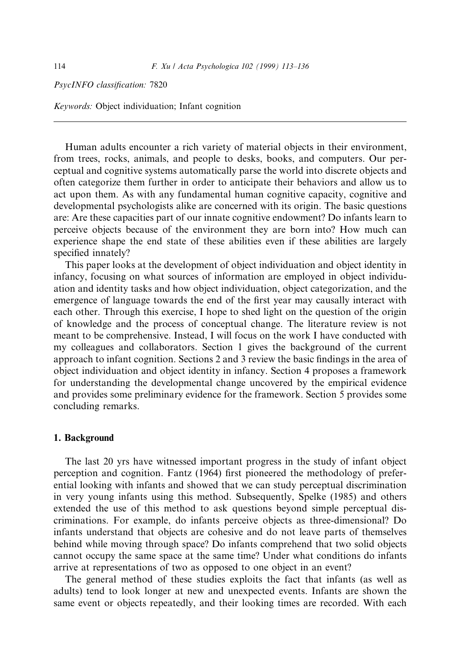PsycINFO classification: 7820

Keywords: Object individuation; Infant cognition

Human adults encounter a rich variety of material objects in their environment, from trees, rocks, animals, and people to desks, books, and computers. Our perceptual and cognitive systems automatically parse the world into discrete objects and often categorize them further in order to anticipate their behaviors and allow us to act upon them. As with any fundamental human cognitive capacity, cognitive and developmental psychologists alike are concerned with its origin. The basic questions are: Are these capacities part of our innate cognitive endowment? Do infants learn to perceive objects because of the environment they are born into? How much can experience shape the end state of these abilities even if these abilities are largely specified innately?

This paper looks at the development of object individuation and object identity in infancy, focusing on what sources of information are employed in object individuation and identity tasks and how object individuation, object categorization, and the emergence of language towards the end of the first year may causally interact with each other. Through this exercise, I hope to shed light on the question of the origin of knowledge and the process of conceptual change. The literature review is not meant to be comprehensive. Instead, I will focus on the work I have conducted with my colleagues and collaborators. Section 1 gives the background of the current approach to infant cognition. Sections 2 and 3 review the basic findings in the area of object individuation and object identity in infancy. Section 4 proposes a framework for understanding the developmental change uncovered by the empirical evidence and provides some preliminary evidence for the framework. Section 5 provides some concluding remarks.

#### 1. Background

The last 20 yrs have witnessed important progress in the study of infant object perception and cognition. Fantz (1964) first pioneered the methodology of preferential looking with infants and showed that we can study perceptual discrimination in very young infants using this method. Subsequently, Spelke (1985) and others extended the use of this method to ask questions beyond simple perceptual discriminations. For example, do infants perceive objects as three-dimensional? Do infants understand that objects are cohesive and do not leave parts of themselves behind while moving through space? Do infants comprehend that two solid objects cannot occupy the same space at the same time? Under what conditions do infants arrive at representations of two as opposed to one object in an event?

The general method of these studies exploits the fact that infants (as well as adults) tend to look longer at new and unexpected events. Infants are shown the same event or objects repeatedly, and their looking times are recorded. With each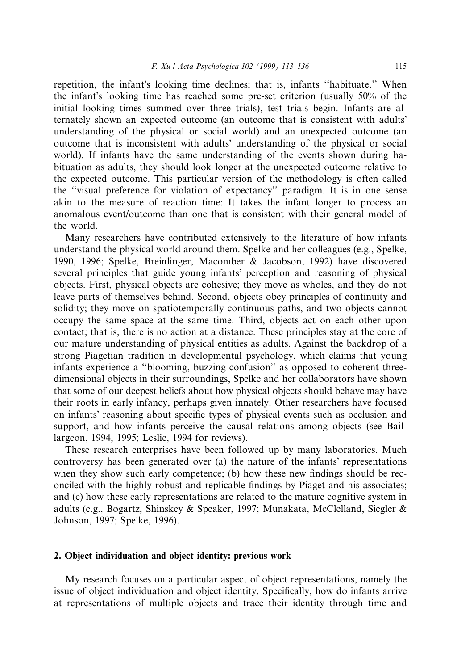repetition, the infant's looking time declines; that is, infants "habituate." When the infant's looking time has reached some pre-set criterion (usually  $50\%$  of the initial looking times summed over three trials), test trials begin. Infants are alternately shown an expected outcome (an outcome that is consistent with adults<sup>'</sup> understanding of the physical or social world) and an unexpected outcome (an outcome that is inconsistent with adults' understanding of the physical or social world). If infants have the same understanding of the events shown during habituation as adults, they should look longer at the unexpected outcome relative to the expected outcome. This particular version of the methodology is often called the "visual preference for violation of expectancy" paradigm. It is in one sense akin to the measure of reaction time: It takes the infant longer to process an anomalous event/outcome than one that is consistent with their general model of the world.

Many researchers have contributed extensively to the literature of how infants understand the physical world around them. Spelke and her colleagues (e.g., Spelke, 1990, 1996; Spelke, Breinlinger, Macomber & Jacobson, 1992) have discovered several principles that guide young infants' perception and reasoning of physical objects. First, physical objects are cohesive; they move as wholes, and they do not leave parts of themselves behind. Second, objects obey principles of continuity and solidity; they move on spatiotemporally continuous paths, and two objects cannot occupy the same space at the same time. Third, objects act on each other upon contact; that is, there is no action at a distance. These principles stay at the core of our mature understanding of physical entities as adults. Against the backdrop of a strong Piagetian tradition in developmental psychology, which claims that young infants experience a "blooming, buzzing confusion" as opposed to coherent threedimensional objects in their surroundings, Spelke and her collaborators have shown that some of our deepest beliefs about how physical objects should behave may have their roots in early infancy, perhaps given innately. Other researchers have focused on infants' reasoning about specific types of physical events such as occlusion and support, and how infants perceive the causal relations among objects (see Baillargeon, 1994, 1995; Leslie, 1994 for reviews).

These research enterprises have been followed up by many laboratories. Much controversy has been generated over  $(a)$  the nature of the infants' representations when they show such early competence; (b) how these new findings should be reconciled with the highly robust and replicable findings by Piaget and his associates; and (c) how these early representations are related to the mature cognitive system in adults (e.g., Bogartz, Shinskey & Speaker, 1997; Munakata, McClelland, Siegler & Johnson, 1997; Spelke, 1996).

#### 2. Object individuation and object identity: previous work

My research focuses on a particular aspect of object representations, namely the issue of object individuation and object identity. Specifically, how do infants arrive at representations of multiple objects and trace their identity through time and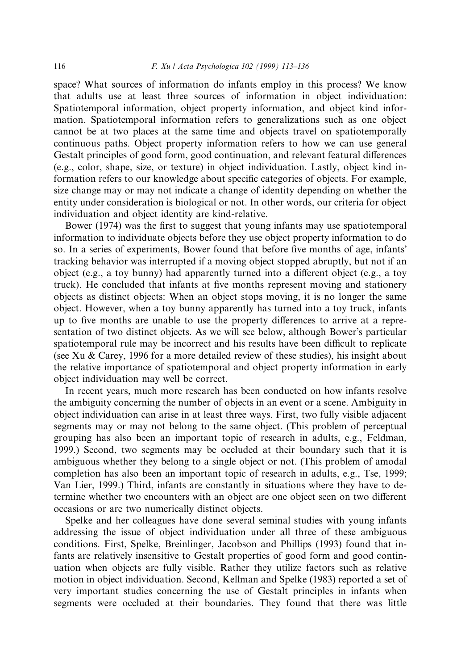space? What sources of information do infants employ in this process? We know that adults use at least three sources of information in object individuation: Spatiotemporal information, object property information, and object kind information. Spatiotemporal information refers to generalizations such as one object cannot be at two places at the same time and objects travel on spatiotemporally continuous paths. Object property information refers to how we can use general Gestalt principles of good form, good continuation, and relevant featural differences (e.g., color, shape, size, or texture) in object individuation. Lastly, object kind information refers to our knowledge about specific categories of objects. For example, size change may or may not indicate a change of identity depending on whether the entity under consideration is biological or not. In other words, our criteria for object individuation and object identity are kind-relative.

Bower (1974) was the first to suggest that young infants may use spatiotemporal information to individuate objects before they use object property information to do so. In a series of experiments, Bower found that before five months of age, infants' tracking behavior was interrupted if a moving object stopped abruptly, but not if an object (e.g., a toy bunny) had apparently turned into a different object (e.g., a toy truck). He concluded that infants at five months represent moving and stationery objects as distinct objects: When an object stops moving, it is no longer the same object. However, when a toy bunny apparently has turned into a toy truck, infants up to five months are unable to use the property differences to arrive at a representation of two distinct objects. As we will see below, although Bower's particular spatiotemporal rule may be incorrect and his results have been difficult to replicate (see Xu & Carey, 1996 for a more detailed review of these studies), his insight about the relative importance of spatiotemporal and object property information in early object individuation may well be correct.

In recent years, much more research has been conducted on how infants resolve the ambiguity concerning the number of objects in an event or a scene. Ambiguity in object individuation can arise in at least three ways. First, two fully visible adjacent segments may or may not belong to the same object. (This problem of perceptual grouping has also been an important topic of research in adults, e.g., Feldman, 1999.) Second, two segments may be occluded at their boundary such that it is ambiguous whether they belong to a single object or not. (This problem of amodal completion has also been an important topic of research in adults, e.g., Tse, 1999; Van Lier, 1999.) Third, infants are constantly in situations where they have to determine whether two encounters with an object are one object seen on two different occasions or are two numerically distinct objects.

Spelke and her colleagues have done several seminal studies with young infants addressing the issue of object individuation under all three of these ambiguous conditions. First, Spelke, Breinlinger, Jacobson and Phillips (1993) found that infants are relatively insensitive to Gestalt properties of good form and good continuation when objects are fully visible. Rather they utilize factors such as relative motion in object individuation. Second, Kellman and Spelke (1983) reported a set of very important studies concerning the use of Gestalt principles in infants when segments were occluded at their boundaries. They found that there was little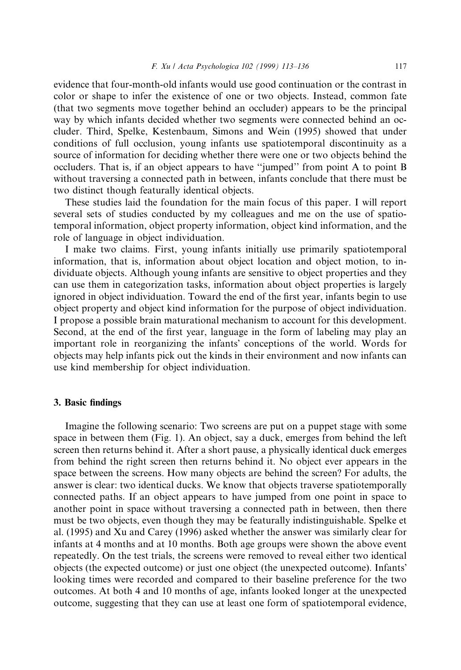evidence that four-month-old infants would use good continuation or the contrast in color or shape to infer the existence of one or two objects. Instead, common fate (that two segments move together behind an occluder) appears to be the principal way by which infants decided whether two segments were connected behind an occluder. Third, Spelke, Kestenbaum, Simons and Wein (1995) showed that under conditions of full occlusion, young infants use spatiotemporal discontinuity as a source of information for deciding whether there were one or two objects behind the occluders. That is, if an object appears to have "jumped" from point A to point B without traversing a connected path in between, infants conclude that there must be two distinct though featurally identical objects.

These studies laid the foundation for the main focus of this paper. I will report several sets of studies conducted by my colleagues and me on the use of spatiotemporal information, object property information, object kind information, and the role of language in object individuation.

I make two claims. First, young infants initially use primarily spatiotemporal information, that is, information about object location and object motion, to individuate objects. Although young infants are sensitive to object properties and they can use them in categorization tasks, information about object properties is largely ignored in object individuation. Toward the end of the first year, infants begin to use object property and object kind information for the purpose of object individuation. I propose a possible brain maturational mechanism to account for this development. Second, at the end of the first year, language in the form of labeling may play an important role in reorganizing the infants' conceptions of the world. Words for objects may help infants pick out the kinds in their environment and now infants can use kind membership for object individuation.

#### 3. Basic findings

Imagine the following scenario: Two screens are put on a puppet stage with some space in between them (Fig. 1). An object, say a duck, emerges from behind the left screen then returns behind it. After a short pause, a physically identical duck emerges from behind the right screen then returns behind it. No object ever appears in the space between the screens. How many objects are behind the screen? For adults, the answer is clear: two identical ducks. We know that objects traverse spatiotemporally connected paths. If an object appears to have jumped from one point in space to another point in space without traversing a connected path in between, then there must be two objects, even though they may be featurally indistinguishable. Spelke et al. (1995) and Xu and Carey (1996) asked whether the answer was similarly clear for infants at 4 months and at 10 months. Both age groups were shown the above event repeatedly. On the test trials, the screens were removed to reveal either two identical objects (the expected outcome) or just one object (the unexpected outcome). Infants' looking times were recorded and compared to their baseline preference for the two outcomes. At both 4 and 10 months of age, infants looked longer at the unexpected outcome, suggesting that they can use at least one form of spatiotemporal evidence,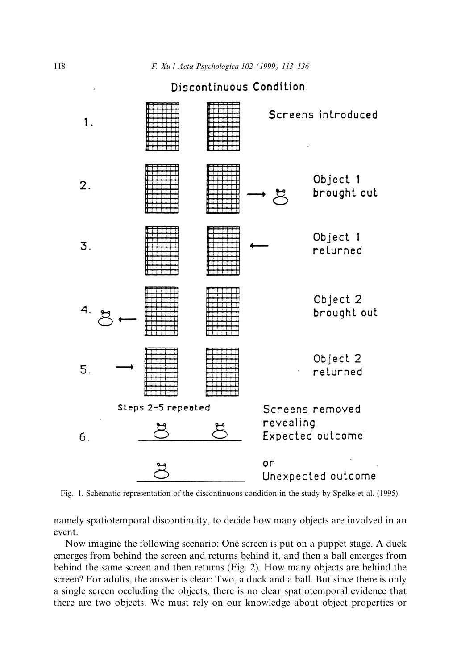## Discontinuous Condition



Fig. 1. Schematic representation of the discontinuous condition in the study by Spelke et al. (1995).

namely spatiotemporal discontinuity, to decide how many objects are involved in an event.

Now imagine the following scenario: One screen is put on a puppet stage. A duck emerges from behind the screen and returns behind it, and then a ball emerges from behind the same screen and then returns (Fig. 2). How many objects are behind the screen? For adults, the answer is clear: Two, a duck and a ball. But since there is only a single screen occluding the objects, there is no clear spatiotemporal evidence that there are two objects. We must rely on our knowledge about object properties or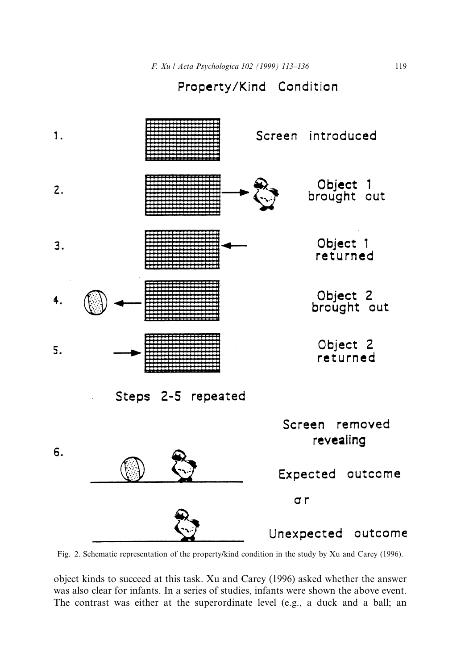## Property/Kind Condition





object kinds to succeed at this task. Xu and Carey (1996) asked whether the answer was also clear for infants. In a series of studies, infants were shown the above event. The contrast was either at the superordinate level (e.g., a duck and a ball; an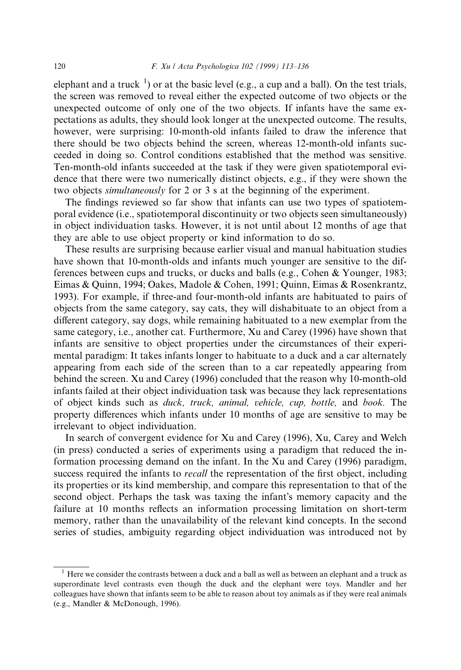elephant and a truck  $<sup>1</sup>$ ) or at the basic level (e.g., a cup and a ball). On the test trials,</sup> the screen was removed to reveal either the expected outcome of two objects or the unexpected outcome of only one of the two objects. If infants have the same expectations as adults, they should look longer at the unexpected outcome. The results, however, were surprising: 10-month-old infants failed to draw the inference that there should be two objects behind the screen, whereas 12-month-old infants succeeded in doing so. Control conditions established that the method was sensitive. Ten-month-old infants succeeded at the task if they were given spatiotemporal evidence that there were two numerically distinct objects, e.g., if they were shown the two objects simultaneously for 2 or 3 s at the beginning of the experiment.

The findings reviewed so far show that infants can use two types of spatiotemporal evidence (i.e., spatiotemporal discontinuity or two objects seen simultaneously) in object individuation tasks. However, it is not until about 12 months of age that they are able to use object property or kind information to do so.

These results are surprising because earlier visual and manual habituation studies have shown that 10-month-olds and infants much younger are sensitive to the differences between cups and trucks, or ducks and balls (e.g., Cohen & Younger, 1983; Eimas & Quinn, 1994; Oakes, Madole & Cohen, 1991; Quinn, Eimas & Rosenkrantz, 1993). For example, if three-and four-month-old infants are habituated to pairs of objects from the same category, say cats, they will dishabituate to an object from a different category, say dogs, while remaining habituated to a new exemplar from the same category, i.e., another cat. Furthermore, Xu and Carey (1996) have shown that infants are sensitive to object properties under the circumstances of their experimental paradigm: It takes infants longer to habituate to a duck and a car alternately appearing from each side of the screen than to a car repeatedly appearing from behind the screen. Xu and Carey (1996) concluded that the reason why 10-month-old infants failed at their object individuation task was because they lack representations of object kinds such as duck, truck, animal, vehicle, cup, bottle, and book. The property differences which infants under 10 months of age are sensitive to may be irrelevant to object individuation.

In search of convergent evidence for Xu and Carey (1996), Xu, Carey and Welch (in press) conducted a series of experiments using a paradigm that reduced the information processing demand on the infant. In the Xu and Carey (1996) paradigm, success required the infants to *recall* the representation of the first object, including its properties or its kind membership, and compare this representation to that of the second object. Perhaps the task was taxing the infant's memory capacity and the failure at 10 months reflects an information processing limitation on short-term memory, rather than the unavailability of the relevant kind concepts. In the second series of studies, ambiguity regarding object individuation was introduced not by

 $<sup>1</sup>$  Here we consider the contrasts between a duck and a ball as well as between an elephant and a truck as</sup> superordinate level contrasts even though the duck and the elephant were toys. Mandler and her colleagues have shown that infants seem to be able to reason about toy animals as if they were real animals (e.g., Mandler & McDonough, 1996).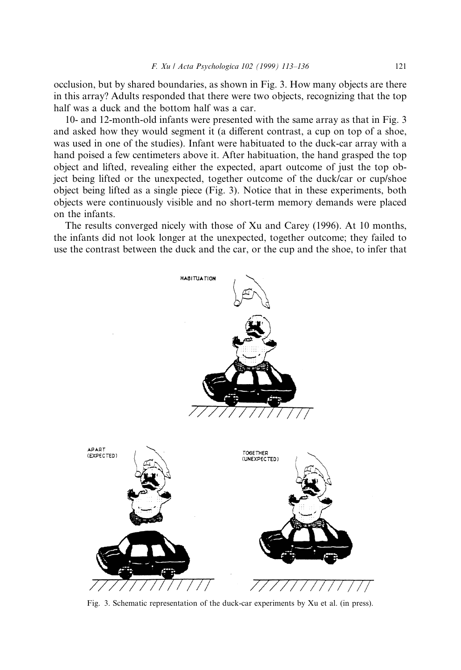occlusion, but by shared boundaries, as shown in Fig. 3. How many objects are there in this array? Adults responded that there were two objects, recognizing that the top half was a duck and the bottom half was a car.

10- and 12-month-old infants were presented with the same array as that in Fig. 3 and asked how they would segment it (a different contrast, a cup on top of a shoe, was used in one of the studies). Infant were habituated to the duck-car array with a hand poised a few centimeters above it. After habituation, the hand grasped the top object and lifted, revealing either the expected, apart outcome of just the top object being lifted or the unexpected, together outcome of the duck/car or cup/shoe object being lifted as a single piece (Fig. 3). Notice that in these experiments, both objects were continuously visible and no short-term memory demands were placed on the infants.

The results converged nicely with those of Xu and Carey (1996). At 10 months, the infants did not look longer at the unexpected, together outcome; they failed to use the contrast between the duck and the car, or the cup and the shoe, to infer that



Fig. 3. Schematic representation of the duck-car experiments by Xu et al. (in press).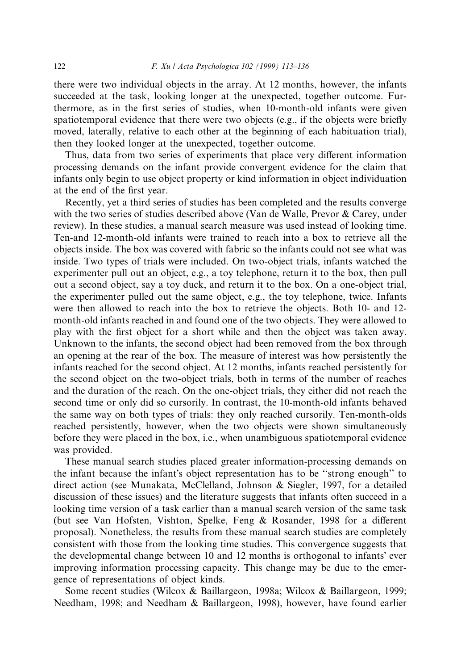there were two individual objects in the array. At 12 months, however, the infants succeeded at the task, looking longer at the unexpected, together outcome. Furthermore, as in the first series of studies, when 10-month-old infants were given spatiotemporal evidence that there were two objects (e.g., if the objects were briefly moved, laterally, relative to each other at the beginning of each habituation trial), then they looked longer at the unexpected, together outcome.

Thus, data from two series of experiments that place very different information processing demands on the infant provide convergent evidence for the claim that infants only begin to use object property or kind information in object individuation at the end of the first year.

Recently, yet a third series of studies has been completed and the results converge with the two series of studies described above (Van de Walle, Prevor  $\&$  Carey, under review). In these studies, a manual search measure was used instead of looking time. Ten-and 12-month-old infants were trained to reach into a box to retrieve all the objects inside. The box was covered with fabric so the infants could not see what was inside. Two types of trials were included. On two-object trials, infants watched the experimenter pull out an object, e.g., a toy telephone, return it to the box, then pull out a second object, say a toy duck, and return it to the box. On a one-object trial, the experimenter pulled out the same object, e.g., the toy telephone, twice. Infants were then allowed to reach into the box to retrieve the objects. Both 10- and 12 month-old infants reached in and found one of the two objects. They were allowed to play with the first object for a short while and then the object was taken away. Unknown to the infants, the second object had been removed from the box through an opening at the rear of the box. The measure of interest was how persistently the infants reached for the second object. At 12 months, infants reached persistently for the second object on the two-object trials, both in terms of the number of reaches and the duration of the reach. On the one-object trials, they either did not reach the second time or only did so cursorily. In contrast, the 10-month-old infants behaved the same way on both types of trials: they only reached cursorily. Ten-month-olds reached persistently, however, when the two objects were shown simultaneously before they were placed in the box, i.e., when unambiguous spatiotemporal evidence was provided.

These manual search studies placed greater information-processing demands on the infant because the infant's object representation has to be "strong enough" to direct action (see Munakata, McClelland, Johnson & Siegler, 1997, for a detailed discussion of these issues) and the literature suggests that infants often succeed in a looking time version of a task earlier than a manual search version of the same task (but see Van Hofsten, Vishton, Spelke, Feng  $\&$  Rosander, 1998 for a different proposal). Nonetheless, the results from these manual search studies are completely consistent with those from the looking time studies. This convergence suggests that the developmental change between 10 and 12 months is orthogonal to infants' ever improving information processing capacity. This change may be due to the emergence of representations of object kinds.

Some recent studies (Wilcox & Baillargeon, 1998a; Wilcox & Baillargeon, 1999; Needham, 1998; and Needham & Baillargeon, 1998), however, have found earlier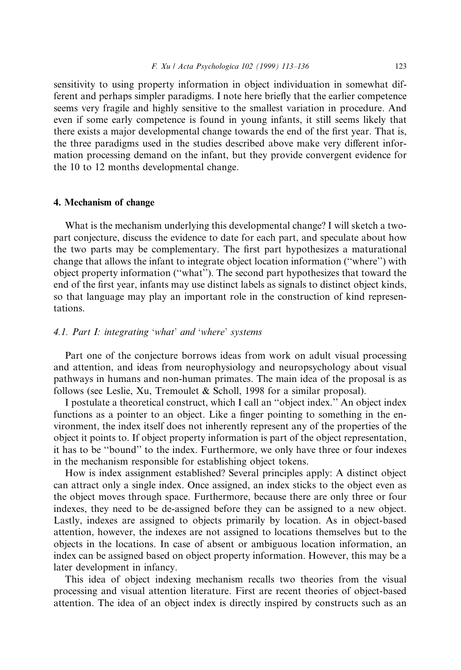sensitivity to using property information in object individuation in somewhat different and perhaps simpler paradigms. I note here briefly that the earlier competence seems very fragile and highly sensitive to the smallest variation in procedure. And even if some early competence is found in young infants, it still seems likely that there exists a major developmental change towards the end of the first year. That is, the three paradigms used in the studies described above make very different information processing demand on the infant, but they provide convergent evidence for the 10 to 12 months developmental change.

#### 4. Mechanism of change

What is the mechanism underlying this developmental change? I will sketch a twopart conjecture, discuss the evidence to date for each part, and speculate about how the two parts may be complementary. The first part hypothesizes a maturational change that allows the infant to integrate object location information ("where") with object property information ("what"). The second part hypothesizes that toward the end of the first year, infants may use distinct labels as signals to distinct object kinds, so that language may play an important role in the construction of kind representations.

#### 4.1. Part I: integrating 'what' and 'where' systems

Part one of the conjecture borrows ideas from work on adult visual processing and attention, and ideas from neurophysiology and neuropsychology about visual pathways in humans and non-human primates. The main idea of the proposal is as follows (see Leslie, Xu, Tremoulet & Scholl, 1998 for a similar proposal).

I postulate a theoretical construct, which I call an "object index." An object index functions as a pointer to an object. Like a finger pointing to something in the environment, the index itself does not inherently represent any of the properties of the object it points to. If object property information is part of the object representation, it has to be "bound" to the index. Furthermore, we only have three or four indexes in the mechanism responsible for establishing object tokens.

How is index assignment established? Several principles apply: A distinct object can attract only a single index. Once assigned, an index sticks to the object even as the object moves through space. Furthermore, because there are only three or four indexes, they need to be de-assigned before they can be assigned to a new object. Lastly, indexes are assigned to objects primarily by location. As in object-based attention, however, the indexes are not assigned to locations themselves but to the objects in the locations. In case of absent or ambiguous location information, an index can be assigned based on object property information. However, this may be a later development in infancy.

This idea of object indexing mechanism recalls two theories from the visual processing and visual attention literature. First are recent theories of object-based attention. The idea of an object index is directly inspired by constructs such as an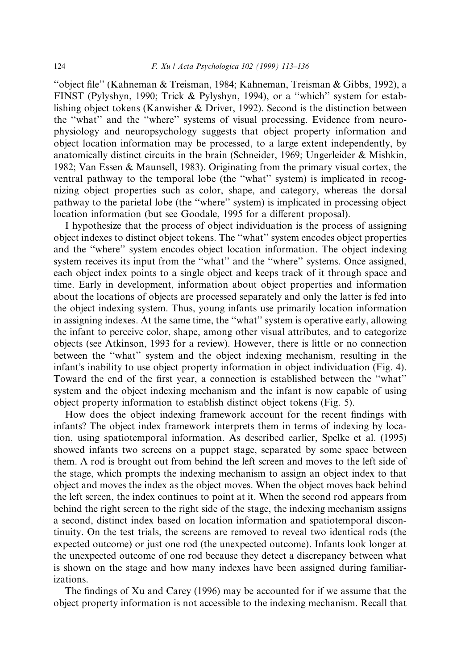"object file'' (Kahneman & Treisman, 1984; Kahneman, Treisman & Gibbs, 1992), a FINST (Pylyshyn, 1990; Trick & Pylyshyn, 1994), or a "which" system for establishing object tokens (Kanwisher & Driver, 1992). Second is the distinction between the "what" and the "where" systems of visual processing. Evidence from neurophysiology and neuropsychology suggests that object property information and object location information may be processed, to a large extent independently, by anatomically distinct circuits in the brain (Schneider, 1969; Ungerleider & Mishkin, 1982; Van Essen & Maunsell, 1983). Originating from the primary visual cortex, the ventral pathway to the temporal lobe (the "what" system) is implicated in recognizing object properties such as color, shape, and category, whereas the dorsal pathway to the parietal lobe (the "where" system) is implicated in processing object location information (but see Goodale, 1995 for a different proposal).

I hypothesize that the process of object individuation is the process of assigning object indexes to distinct object tokens. The "what" system encodes object properties and the "where" system encodes object location information. The object indexing system receives its input from the "what" and the "where" systems. Once assigned, each object index points to a single object and keeps track of it through space and time. Early in development, information about object properties and information about the locations of objects are processed separately and only the latter is fed into the object indexing system. Thus, young infants use primarily location information in assigning indexes. At the same time, the "what" system is operative early, allowing the infant to perceive color, shape, among other visual attributes, and to categorize objects (see Atkinson, 1993 for a review). However, there is little or no connection between the "what" system and the object indexing mechanism, resulting in the infant's inability to use object property information in object individuation (Fig. 4). Toward the end of the first year, a connection is established between the "what" system and the object indexing mechanism and the infant is now capable of using object property information to establish distinct object tokens (Fig. 5).

How does the object indexing framework account for the recent findings with infants? The object index framework interprets them in terms of indexing by location, using spatiotemporal information. As described earlier, Spelke et al. (1995) showed infants two screens on a puppet stage, separated by some space between them. A rod is brought out from behind the left screen and moves to the left side of the stage, which prompts the indexing mechanism to assign an object index to that object and moves the index as the object moves. When the object moves back behind the left screen, the index continues to point at it. When the second rod appears from behind the right screen to the right side of the stage, the indexing mechanism assigns a second, distinct index based on location information and spatiotemporal discontinuity. On the test trials, the screens are removed to reveal two identical rods (the expected outcome) or just one rod (the unexpected outcome). Infants look longer at the unexpected outcome of one rod because they detect a discrepancy between what is shown on the stage and how many indexes have been assigned during familiarizations.

The findings of Xu and Carey (1996) may be accounted for if we assume that the object property information is not accessible to the indexing mechanism. Recall that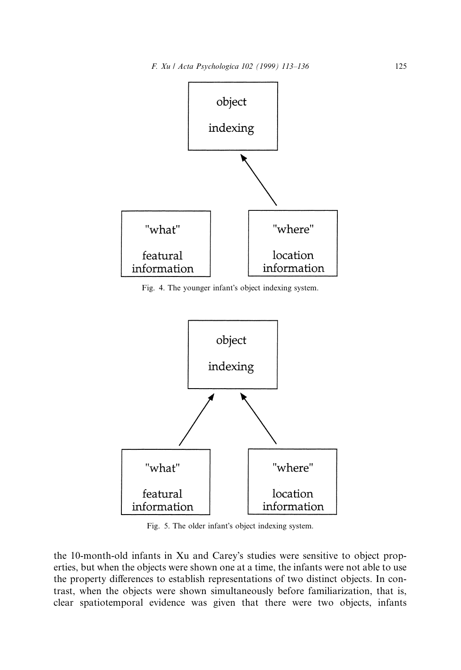

Fig. 4. The younger infant's object indexing system.



Fig. 5. The older infant's object indexing system.

the 10-month-old infants in Xu and Carey's studies were sensitive to object properties, but when the objects were shown one at a time, the infants were not able to use the property differences to establish representations of two distinct objects. In contrast, when the objects were shown simultaneously before familiarization, that is, clear spatiotemporal evidence was given that there were two objects, infants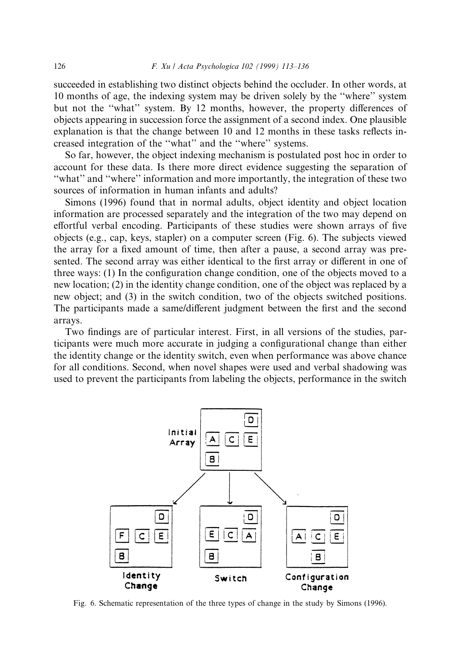succeeded in establishing two distinct objects behind the occluder. In other words, at 10 months of age, the indexing system may be driven solely by the "where" system but not the "what" system. By 12 months, however, the property differences of objects appearing in succession force the assignment of a second index. One plausible explanation is that the change between  $10$  and  $12$  months in these tasks reflects increased integration of the "what" and the "where" systems.

So far, however, the object indexing mechanism is postulated post hoc in order to account for these data. Is there more direct evidence suggesting the separation of ``what'' and ``where'' information and more importantly, the integration of these two sources of information in human infants and adults?

Simons (1996) found that in normal adults, object identity and object location information are processed separately and the integration of the two may depend on effortful verbal encoding. Participants of these studies were shown arrays of five objects (e.g., cap, keys, stapler) on a computer screen (Fig. 6). The subjects viewed the array for a fixed amount of time, then after a pause, a second array was presented. The second array was either identical to the first array or different in one of three ways:  $(1)$  In the configuration change condition, one of the objects moved to a new location; (2) in the identity change condition, one of the object was replaced by a new object; and (3) in the switch condition, two of the objects switched positions. The participants made a same/different judgment between the first and the second arrays.

Two findings are of particular interest. First, in all versions of the studies, participants were much more accurate in judging a configurational change than either the identity change or the identity switch, even when performance was above chance for all conditions. Second, when novel shapes were used and verbal shadowing was used to prevent the participants from labeling the objects, performance in the switch



Fig. 6. Schematic representation of the three types of change in the study by Simons (1996).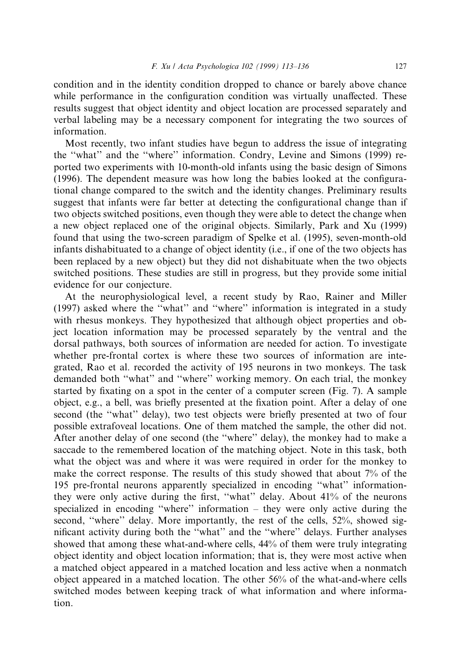condition and in the identity condition dropped to chance or barely above chance while performance in the configuration condition was virtually unaffected. These results suggest that object identity and object location are processed separately and verbal labeling may be a necessary component for integrating the two sources of information.

Most recently, two infant studies have begun to address the issue of integrating the "what" and the "where" information. Condry, Levine and Simons (1999) reported two experiments with 10-month-old infants using the basic design of Simons  $(1996)$ . The dependent measure was how long the babies looked at the configurational change compared to the switch and the identity changes. Preliminary results suggest that infants were far better at detecting the configurational change than if two objects switched positions, even though they were able to detect the change when a new object replaced one of the original objects. Similarly, Park and Xu (1999) found that using the two-screen paradigm of Spelke et al. (1995), seven-month-old infants dishabituated to a change of object identity (i.e., if one of the two objects has been replaced by a new object) but they did not dishabituate when the two objects switched positions. These studies are still in progress, but they provide some initial evidence for our conjecture.

At the neurophysiological level, a recent study by Rao, Rainer and Miller (1997) asked where the "what" and "where" information is integrated in a study with rhesus monkeys. They hypothesized that although object properties and object location information may be processed separately by the ventral and the dorsal pathways, both sources of information are needed for action. To investigate whether pre-frontal cortex is where these two sources of information are integrated, Rao et al. recorded the activity of 195 neurons in two monkeys. The task demanded both "what" and "where" working memory. On each trial, the monkey started by fixating on a spot in the center of a computer screen (Fig. 7). A sample object, e.g., a bell, was briefly presented at the fixation point. After a delay of one second (the "what" delay), two test objects were briefly presented at two of four possible extrafoveal locations. One of them matched the sample, the other did not. After another delay of one second (the "where" delay), the monkey had to make a saccade to the remembered location of the matching object. Note in this task, both what the object was and where it was were required in order for the monkey to make the correct response. The results of this study showed that about 7% of the 195 pre-frontal neurons apparently specialized in encoding "what" informationthey were only active during the first, "what" delay. About  $41\%$  of the neurons specialized in encoding "where" information  $-$  they were only active during the second, "where" delay. More importantly, the rest of the cells,  $52\%$ , showed significant activity during both the "what" and the "where" delays. Further analyses showed that among these what-and-where cells, 44% of them were truly integrating object identity and object location information; that is, they were most active when a matched object appeared in a matched location and less active when a nonmatch object appeared in a matched location. The other 56% of the what-and-where cells switched modes between keeping track of what information and where information.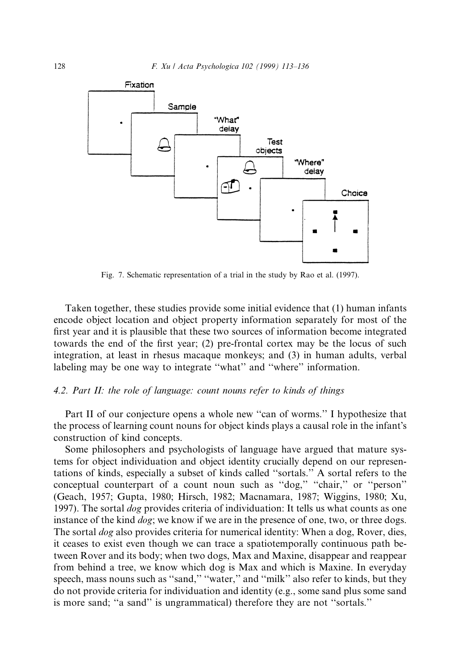

Fig. 7. Schematic representation of a trial in the study by Rao et al. (1997).

Taken together, these studies provide some initial evidence that (1) human infants encode object location and object property information separately for most of the first year and it is plausible that these two sources of information become integrated towards the end of the first year; (2) pre-frontal cortex may be the locus of such integration, at least in rhesus macaque monkeys; and (3) in human adults, verbal labeling may be one way to integrate "what" and "where" information.

#### 4.2. Part II: the role of language: count nouns refer to kinds of things

Part II of our conjecture opens a whole new "can of worms." I hypothesize that the process of learning count nouns for object kinds plays a causal role in the infant's construction of kind concepts.

Some philosophers and psychologists of language have argued that mature systems for object individuation and object identity crucially depend on our representations of kinds, especially a subset of kinds called "sortals." A sortal refers to the conceptual counterpart of a count noun such as " $\deg$ ," "chair," or "person" (Geach, 1957; Gupta, 1980; Hirsch, 1982; Macnamara, 1987; Wiggins, 1980; Xu, 1997). The sortal *dog* provides criteria of individuation: It tells us what counts as one instance of the kind *dog*; we know if we are in the presence of one, two, or three dogs. The sortal *dog* also provides criteria for numerical identity: When a dog, Rover, dies, it ceases to exist even though we can trace a spatiotemporally continuous path between Rover and its body; when two dogs, Max and Maxine, disappear and reappear from behind a tree, we know which dog is Max and which is Maxine. In everyday speech, mass nouns such as "sand," "water," and "milk" also refer to kinds, but they do not provide criteria for individuation and identity (e.g., some sand plus some sand is more sand: "a sand" is ungrammatical) therefore they are not "sortals."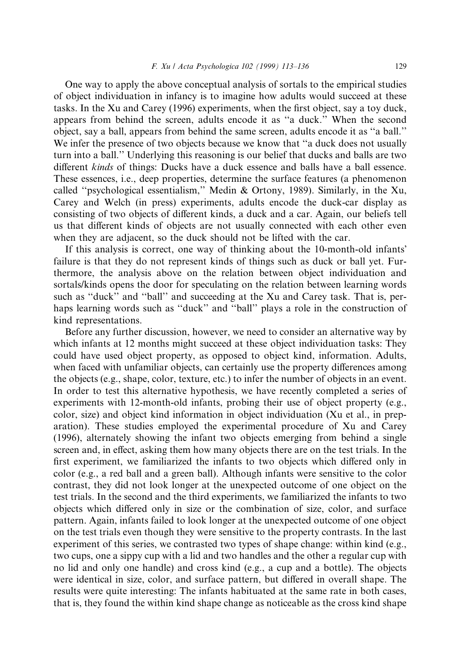One way to apply the above conceptual analysis of sortals to the empirical studies of object individuation in infancy is to imagine how adults would succeed at these tasks. In the Xu and Carey  $(1996)$  experiments, when the first object, say a toy duck, appears from behind the screen, adults encode it as "a duck." When the second object, say a ball, appears from behind the same screen, adults encode it as ``a ball.'' We infer the presence of two objects because we know that "a duck does not usually turn into a ball.'' Underlying this reasoning is our belief that ducks and balls are two different kinds of things: Ducks have a duck essence and balls have a ball essence. These essences, i.e., deep properties, determine the surface features (a phenomenon called "psychological essentialism," Medin & Ortony, 1989). Similarly, in the Xu, Carey and Welch (in press) experiments, adults encode the duck-car display as consisting of two objects of different kinds, a duck and a car. Again, our beliefs tell us that different kinds of objects are not usually connected with each other even when they are adjacent, so the duck should not be lifted with the car.

If this analysis is correct, one way of thinking about the 10-month-old infants' failure is that they do not represent kinds of things such as duck or ball yet. Furthermore, the analysis above on the relation between object individuation and sortals/kinds opens the door for speculating on the relation between learning words such as "duck" and "ball" and succeeding at the Xu and Carey task. That is, perhaps learning words such as "duck" and "ball" plays a role in the construction of kind representations.

Before any further discussion, however, we need to consider an alternative way by which infants at 12 months might succeed at these object individuation tasks: They could have used object property, as opposed to object kind, information. Adults, when faced with unfamiliar objects, can certainly use the property differences among the objects (e.g., shape, color, texture, etc.) to infer the number of objects in an event. In order to test this alternative hypothesis, we have recently completed a series of experiments with 12-month-old infants, probing their use of object property (e.g., color, size) and object kind information in object individuation (Xu et al., in preparation). These studies employed the experimental procedure of Xu and Carey (1996), alternately showing the infant two objects emerging from behind a single screen and, in effect, asking them how many objects there are on the test trials. In the first experiment, we familiarized the infants to two objects which differed only in color (e.g., a red ball and a green ball). Although infants were sensitive to the color contrast, they did not look longer at the unexpected outcome of one object on the test trials. In the second and the third experiments, we familiarized the infants to two objects which differed only in size or the combination of size, color, and surface pattern. Again, infants failed to look longer at the unexpected outcome of one object on the test trials even though they were sensitive to the property contrasts. In the last experiment of this series, we contrasted two types of shape change: within kind (e.g., two cups, one a sippy cup with a lid and two handles and the other a regular cup with no lid and only one handle) and cross kind (e.g., a cup and a bottle). The objects were identical in size, color, and surface pattern, but differed in overall shape. The results were quite interesting: The infants habituated at the same rate in both cases, that is, they found the within kind shape change as noticeable as the cross kind shape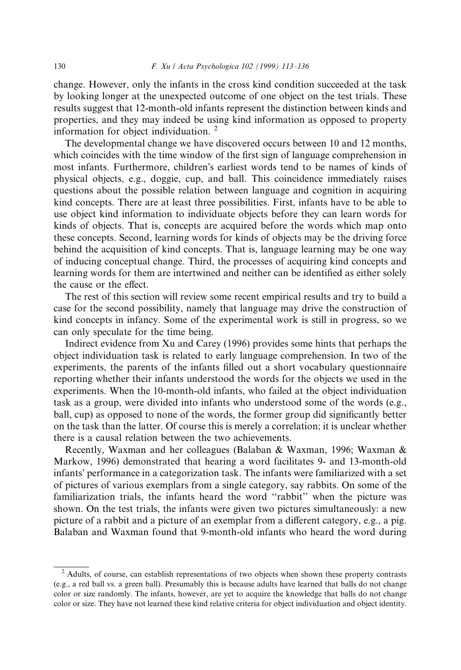change. However, only the infants in the cross kind condition succeeded at the task by looking longer at the unexpected outcome of one object on the test trials. These results suggest that 12-month-old infants represent the distinction between kinds and properties, and they may indeed be using kind information as opposed to property information for object individuation.<sup>2</sup>

The developmental change we have discovered occurs between 10 and 12 months, which coincides with the time window of the first sign of language comprehension in most infants. Furthermore, children's earliest words tend to be names of kinds of physical objects, e.g., doggie, cup, and ball. This coincidence immediately raises questions about the possible relation between language and cognition in acquiring kind concepts. There are at least three possibilities. First, infants have to be able to use object kind information to individuate objects before they can learn words for kinds of objects. That is, concepts are acquired before the words which map onto these concepts. Second, learning words for kinds of objects may be the driving force behind the acquisition of kind concepts. That is, language learning may be one way of inducing conceptual change. Third, the processes of acquiring kind concepts and learning words for them are intertwined and neither can be identified as either solely the cause or the effect.

The rest of this section will review some recent empirical results and try to build a case for the second possibility, namely that language may drive the construction of kind concepts in infancy. Some of the experimental work is still in progress, so we can only speculate for the time being.

Indirect evidence from Xu and Carey (1996) provides some hints that perhaps the object individuation task is related to early language comprehension. In two of the experiments, the parents of the infants filled out a short vocabulary questionnaire reporting whether their infants understood the words for the objects we used in the experiments. When the 10-month-old infants, who failed at the object individuation task as a group, were divided into infants who understood some of the words (e.g., ball, cup) as opposed to none of the words, the former group did significantly better on the task than the latter. Of course this is merely a correlation; it is unclear whether there is a causal relation between the two achievements.

Recently, Waxman and her colleagues (Balaban & Waxman, 1996; Waxman & Markow, 1996) demonstrated that hearing a word facilitates 9- and 13-month-old infants' performance in a categorization task. The infants were familiarized with a set of pictures of various exemplars from a single category, say rabbits. On some of the familiarization trials, the infants heard the word "rabbit" when the picture was shown. On the test trials, the infants were given two pictures simultaneously: a new picture of a rabbit and a picture of an exemplar from a different category, e.g., a pig. Balaban and Waxman found that 9-month-old infants who heard the word during

<sup>&</sup>lt;sup>2</sup> Adults, of course, can establish representations of two objects when shown these property contrasts (e.g., a red ball vs. a green ball). Presumably this is because adults have learned that balls do not change color or size randomly. The infants, however, are yet to acquire the knowledge that balls do not change color or size. They have not learned these kind relative criteria for object individuation and object identity.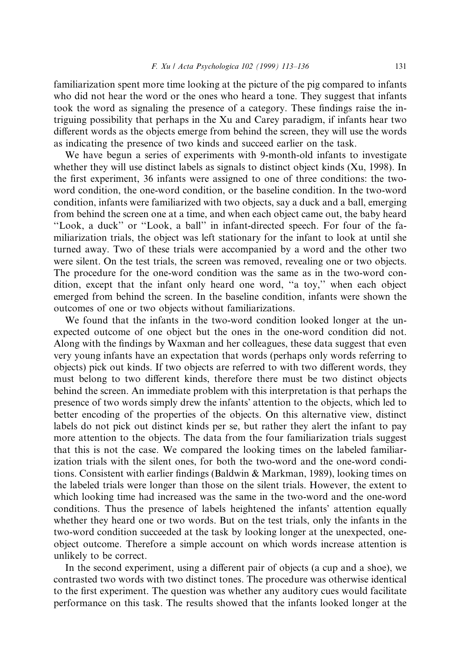familiarization spent more time looking at the picture of the pig compared to infants who did not hear the word or the ones who heard a tone. They suggest that infants took the word as signaling the presence of a category. These findings raise the intriguing possibility that perhaps in the Xu and Carey paradigm, if infants hear two different words as the objects emerge from behind the screen, they will use the words as indicating the presence of two kinds and succeed earlier on the task.

We have begun a series of experiments with 9-month-old infants to investigate whether they will use distinct labels as signals to distinct object kinds (Xu, 1998). In the first experiment, 36 infants were assigned to one of three conditions: the twoword condition, the one-word condition, or the baseline condition. In the two-word condition, infants were familiarized with two objects, say a duck and a ball, emerging from behind the screen one at a time, and when each object came out, the baby heard "Look, a duck" or "Look, a ball" in infant-directed speech. For four of the familiarization trials, the object was left stationary for the infant to look at until she turned away. Two of these trials were accompanied by a word and the other two were silent. On the test trials, the screen was removed, revealing one or two objects. The procedure for the one-word condition was the same as in the two-word condition, except that the infant only heard one word, "a toy," when each object emerged from behind the screen. In the baseline condition, infants were shown the outcomes of one or two objects without familiarizations.

We found that the infants in the two-word condition looked longer at the unexpected outcome of one object but the ones in the one-word condition did not. Along with the findings by Waxman and her colleagues, these data suggest that even very young infants have an expectation that words (perhaps only words referring to objects) pick out kinds. If two objects are referred to with two different words, they must belong to two different kinds, therefore there must be two distinct objects behind the screen. An immediate problem with this interpretation is that perhaps the presence of two words simply drew the infants' attention to the objects, which led to better encoding of the properties of the objects. On this alternative view, distinct labels do not pick out distinct kinds per se, but rather they alert the infant to pay more attention to the objects. The data from the four familiarization trials suggest that this is not the case. We compared the looking times on the labeled familiarization trials with the silent ones, for both the two-word and the one-word conditions. Consistent with earlier findings (Baldwin & Markman, 1989), looking times on the labeled trials were longer than those on the silent trials. However, the extent to which looking time had increased was the same in the two-word and the one-word conditions. Thus the presence of labels heightened the infants' attention equally whether they heard one or two words. But on the test trials, only the infants in the two-word condition succeeded at the task by looking longer at the unexpected, oneobject outcome. Therefore a simple account on which words increase attention is unlikely to be correct.

In the second experiment, using a different pair of objects (a cup and a shoe), we contrasted two words with two distinct tones. The procedure was otherwise identical to the first experiment. The question was whether any auditory cues would facilitate performance on this task. The results showed that the infants looked longer at the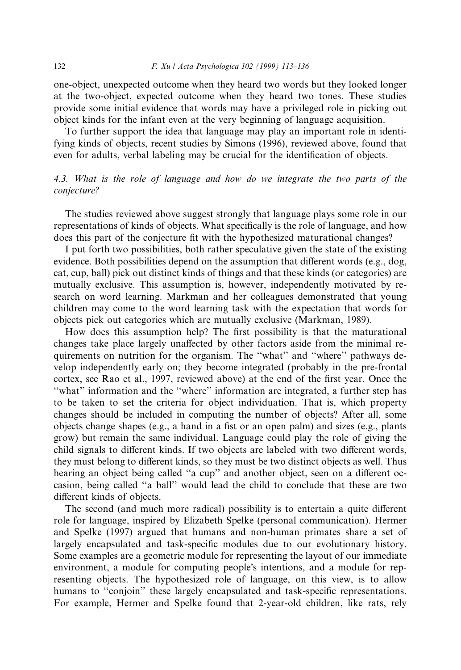one-object, unexpected outcome when they heard two words but they looked longer at the two-object, expected outcome when they heard two tones. These studies provide some initial evidence that words may have a privileged role in picking out object kinds for the infant even at the very beginning of language acquisition.

To further support the idea that language may play an important role in identifying kinds of objects, recent studies by Simons (1996), reviewed above, found that even for adults, verbal labeling may be crucial for the identification of objects.

### 4.3. What is the role of language and how do we integrate the two parts of the conjecture?

The studies reviewed above suggest strongly that language plays some role in our representations of kinds of objects. What specifically is the role of language, and how does this part of the conjecture fit with the hypothesized maturational changes?

I put forth two possibilities, both rather speculative given the state of the existing evidence. Both possibilities depend on the assumption that different words (e.g., dog, cat, cup, ball) pick out distinct kinds of things and that these kinds (or categories) are mutually exclusive. This assumption is, however, independently motivated by research on word learning. Markman and her colleagues demonstrated that young children may come to the word learning task with the expectation that words for objects pick out categories which are mutually exclusive (Markman, 1989).

How does this assumption help? The first possibility is that the maturational changes take place largely unaffected by other factors aside from the minimal requirements on nutrition for the organism. The "what" and "where" pathways develop independently early on; they become integrated (probably in the pre-frontal cortex, see Rao et al., 1997, reviewed above) at the end of the first year. Once the "what" information and the "where" information are integrated, a further step has to be taken to set the criteria for object individuation. That is, which property changes should be included in computing the number of objects? After all, some objects change shapes (e.g., a hand in a fist or an open palm) and sizes (e.g., plants grow) but remain the same individual. Language could play the role of giving the child signals to different kinds. If two objects are labeled with two different words, they must belong to different kinds, so they must be two distinct objects as well. Thus hearing an object being called "a cup" and another object, seen on a different occasion, being called ``a ball'' would lead the child to conclude that these are two different kinds of objects.

The second (and much more radical) possibility is to entertain a quite different role for language, inspired by Elizabeth Spelke (personal communication). Hermer and Spelke (1997) argued that humans and non-human primates share a set of largely encapsulated and task-specific modules due to our evolutionary history. Some examples are a geometric module for representing the layout of our immediate environment, a module for computing people's intentions, and a module for representing objects. The hypothesized role of language, on this view, is to allow humans to "conjoin" these largely encapsulated and task-specific representations. For example, Hermer and Spelke found that 2-year-old children, like rats, rely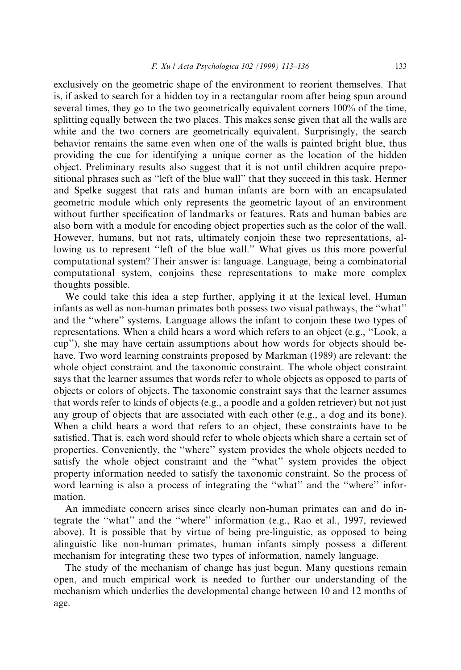exclusively on the geometric shape of the environment to reorient themselves. That is, if asked to search for a hidden toy in a rectangular room after being spun around several times, they go to the two geometrically equivalent corners 100% of the time, splitting equally between the two places. This makes sense given that all the walls are white and the two corners are geometrically equivalent. Surprisingly, the search behavior remains the same even when one of the walls is painted bright blue, thus providing the cue for identifying a unique corner as the location of the hidden object. Preliminary results also suggest that it is not until children acquire prepositional phrases such as "left of the blue wall" that they succeed in this task. Hermer and Spelke suggest that rats and human infants are born with an encapsulated geometric module which only represents the geometric layout of an environment without further specification of landmarks or features. Rats and human babies are also born with a module for encoding object properties such as the color of the wall. However, humans, but not rats, ultimately conjoin these two representations, allowing us to represent "left of the blue wall." What gives us this more powerful computational system? Their answer is: language. Language, being a combinatorial computational system, conjoins these representations to make more complex thoughts possible.

We could take this idea a step further, applying it at the lexical level. Human infants as well as non-human primates both possess two visual pathways, the "what" and the "where" systems. Language allows the infant to conjoin these two types of representations. When a child hears a word which refers to an object (e.g., "Look, a cup''), she may have certain assumptions about how words for objects should behave. Two word learning constraints proposed by Markman (1989) are relevant: the whole object constraint and the taxonomic constraint. The whole object constraint says that the learner assumes that words refer to whole objects as opposed to parts of objects or colors of objects. The taxonomic constraint says that the learner assumes that words refer to kinds of objects (e.g., a poodle and a golden retriever) but not just any group of objects that are associated with each other (e.g., a dog and its bone). When a child hears a word that refers to an object, these constraints have to be satisfied. That is, each word should refer to whole objects which share a certain set of properties. Conveniently, the "where" system provides the whole objects needed to satisfy the whole object constraint and the "what" system provides the object property information needed to satisfy the taxonomic constraint. So the process of word learning is also a process of integrating the "what" and the "where" information.

An immediate concern arises since clearly non-human primates can and do integrate the "what" and the "where" information (e.g., Rao et al., 1997, reviewed above). It is possible that by virtue of being pre-linguistic, as opposed to being alinguistic like non-human primates, human infants simply possess a different mechanism for integrating these two types of information, namely language.

The study of the mechanism of change has just begun. Many questions remain open, and much empirical work is needed to further our understanding of the mechanism which underlies the developmental change between 10 and 12 months of age.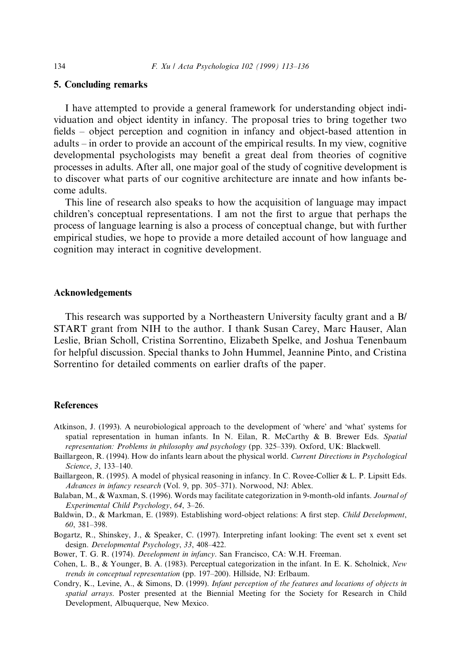#### 5. Concluding remarks

I have attempted to provide a general framework for understanding object individuation and object identity in infancy. The proposal tries to bring together two fields – object perception and cognition in infancy and object-based attention in adults – in order to provide an account of the empirical results. In my view, cognitive developmental psychologists may benefit a great deal from theories of cognitive processes in adults. After all, one major goal of the study of cognitive development is to discover what parts of our cognitive architecture are innate and how infants become adults.

This line of research also speaks to how the acquisition of language may impact children's conceptual representations. I am not the first to argue that perhaps the process of language learning is also a process of conceptual change, but with further empirical studies, we hope to provide a more detailed account of how language and cognition may interact in cognitive development.

#### Acknowledgements

This research was supported by a Northeastern University faculty grant and a B/ START grant from NIH to the author. I thank Susan Carey, Marc Hauser, Alan Leslie, Brian Scholl, Cristina Sorrentino, Elizabeth Spelke, and Joshua Tenenbaum for helpful discussion. Special thanks to John Hummel, Jeannine Pinto, and Cristina Sorrentino for detailed comments on earlier drafts of the paper.

#### **References**

- Atkinson, J. (1993). A neurobiological approach to the development of 'where' and 'what' systems for spatial representation in human infants. In N. Eilan, R. McCarthy & B. Brewer Eds. Spatial representation: Problems in philosophy and psychology (pp. 325-339). Oxford, UK: Blackwell.
- Baillargeon, R. (1994). How do infants learn about the physical world. Current Directions in Psychological Science, 3, 133-140.
- Baillargeon, R. (1995). A model of physical reasoning in infancy. In C. Rovee-Collier & L. P. Lipsitt Eds. Advances in infancy research (Vol. 9, pp. 305-371). Norwood, NJ: Ablex.
- Balaban, M., & Waxman, S. (1996). Words may facilitate categorization in 9-month-old infants. *Journal of* Experimental Child Psychology, 64, 3-26.
- Baldwin, D., & Markman, E. (1989). Establishing word-object relations: A first step. Child Development, 60, 381-398.
- Bogartz, R., Shinskey, J., & Speaker, C. (1997). Interpreting infant looking: The event set x event set design. Developmental Psychology, 33, 408-422.
- Bower, T. G. R. (1974). Development in infancy. San Francisco, CA: W.H. Freeman.
- Cohen, L. B., & Younger, B. A. (1983). Perceptual categorization in the infant. In E. K. Scholnick, New trends in conceptual representation (pp. 197-200). Hillside, NJ: Erlbaum.
- Condry, K., Levine, A., & Simons, D. (1999). Infant perception of the features and locations of objects in spatial arrays. Poster presented at the Biennial Meeting for the Society for Research in Child Development, Albuquerque, New Mexico.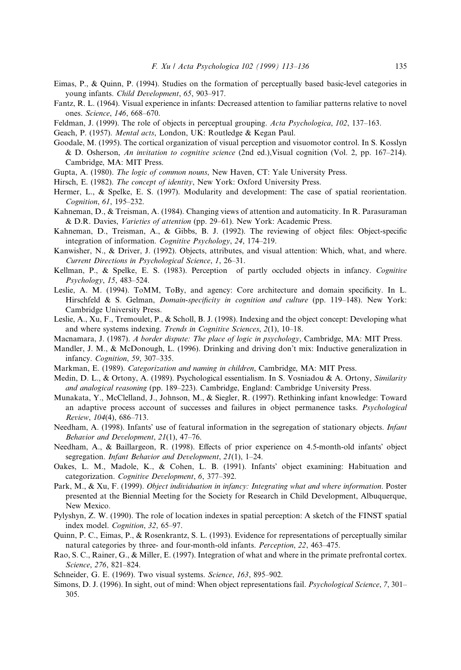- Eimas, P., & Quinn, P. (1994). Studies on the formation of perceptually based basic-level categories in young infants. Child Development, 65, 903-917.
- Fantz, R. L. (1964). Visual experience in infants: Decreased attention to familiar patterns relative to novel ones. Science, 146, 668-670.
- Feldman, J. (1999). The role of objects in perceptual grouping. Acta Psychologica, 102, 137–163.
- Geach, P. (1957). Mental acts, London, UK: Routledge & Kegan Paul.
- Goodale, M. (1995). The cortical organization of visual perception and visuomotor control. In S. Kosslyn & D. Osherson, An invitation to cognitive science (2nd ed.), Visual cognition (Vol. 2, pp. 167-214). Cambridge, MA: MIT Press.
- Gupta, A. (1980). The logic of common nouns, New Haven, CT: Yale University Press.
- Hirsch, E. (1982). The concept of identity, New York: Oxford University Press.
- Hermer, L., & Spelke, E. S. (1997). Modularity and development: The case of spatial reorientation. Cognition, 61, 195-232.
- Kahneman, D., & Treisman, A. (1984). Changing views of attention and automaticity. In R. Parasuraman & D.R. Davies, Varieties of attention (pp. 29–61). New York: Academic Press.
- Kahneman, D., Treisman, A., & Gibbs, B. J. (1992). The reviewing of object files: Object-specific integration of information. Cognitive Psychology, 24, 174-219.
- Kanwisher, N., & Driver, J. (1992). Objects, attributes, and visual attention: Which, what, and where. Current Directions in Psychological Science, 1, 26–31.
- Kellman, P., & Spelke, E. S. (1983). Perception of partly occluded objects in infancy. Cognitive Psychology, 15, 483-524.
- Leslie, A. M. (1994). ToMM, ToBy, and agency: Core architecture and domain specificity. In L. Hirschfeld & S. Gelman, *Domain-specificity in cognition and culture* (pp. 119-148). New York: Cambridge University Press.
- Leslie, A., Xu, F., Tremoulet, P., & Scholl, B. J. (1998). Indexing and the object concept: Developing what and where systems indexing. Trends in Cognitive Sciences, 2(1), 10-18.
- Macnamara, J. (1987). A border dispute: The place of logic in psychology, Cambridge, MA: MIT Press.
- Mandler, J. M., & McDonough, L. (1996). Drinking and driving don't mix: Inductive generalization in infancy. *Cognition*,  $59$ ,  $307-335$ .
- Markman, E. (1989). Categorization and naming in children, Cambridge, MA: MIT Press.
- Medin, D. L., & Ortony, A. (1989). Psychological essentialism. In S. Vosniadou & A. Ortony, Similarity and analogical reasoning (pp. 189–223). Cambridge, England: Cambridge University Press.
- Munakata, Y., McClelland, J., Johnson, M., & Siegler, R. (1997). Rethinking infant knowledge: Toward an adaptive process account of successes and failures in object permanence tasks. *Psychological* Review, 104(4), 686-713.
- Needham, A. (1998). Infants' use of featural information in the segregation of stationary objects. Infant Behavior and Development,  $21(1)$ ,  $47-76$ .
- Needham, A., & Baillargeon, R. (1998). Effects of prior experience on 4.5-month-old infants' object segregation. *Infant Behavior and Development*, 21(1), 1-24.
- Oakes, L. M., Madole, K., & Cohen, L. B. (1991). Infants' object examining: Habituation and categorization. Cognitive Development, 6, 377-392.
- Park, M., & Xu, F. (1999). Object individuation in infancy: Integrating what and where information. Poster presented at the Biennial Meeting for the Society for Research in Child Development, Albuquerque, New Mexico.
- Pylyshyn, Z. W. (1990). The role of location indexes in spatial perception: A sketch of the FINST spatial index model. Cognition, 32, 65-97.
- Quinn, P. C., Eimas, P., & Rosenkrantz, S. L. (1993). Evidence for representations of perceptually similar natural categories by three- and four-month-old infants. Perception, 22, 463-475.
- Rao, S. C., Rainer, G., & Miller, E. (1997). Integration of what and where in the primate prefrontal cortex. Science, 276, 821-824.
- Schneider, G. E. (1969). Two visual systems. Science, 163, 895-902.
- Simons, D. J. (1996). In sight, out of mind: When object representations fail. *Psychological Science*, 7, 301– 305.